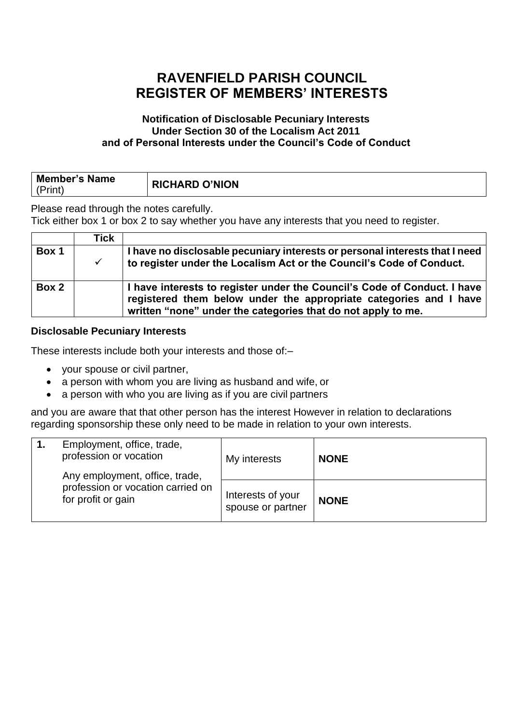# **RAVENFIELD PARISH COUNCIL REGISTER OF MEMBERS' INTERESTS**

### **Notification of Disclosable Pecuniary Interests Under Section 30 of the Localism Act 2011 and of Personal Interests under the Council's Code of Conduct**

| <b>Member's Name</b><br>(Print) | <b>RICHARD O'NION</b> |
|---------------------------------|-----------------------|
|                                 |                       |

Please read through the notes carefully.

Tick either box 1 or box 2 to say whether you have any interests that you need to register.

|       | Tick |                                                                                                                                                                                                               |
|-------|------|---------------------------------------------------------------------------------------------------------------------------------------------------------------------------------------------------------------|
| Box 1 |      | I have no disclosable pecuniary interests or personal interests that I need<br>to register under the Localism Act or the Council's Code of Conduct.                                                           |
| Box 2 |      | I have interests to register under the Council's Code of Conduct. I have<br>registered them below under the appropriate categories and I have<br>written "none" under the categories that do not apply to me. |

### **Disclosable Pecuniary Interests**

These interests include both your interests and those of:–

- your spouse or civil partner,
- a person with whom you are living as husband and wife, or
- a person with who you are living as if you are civil partners

and you are aware that that other person has the interest However in relation to declarations regarding sponsorship these only need to be made in relation to your own interests.

|  | Employment, office, trade,<br>profession or vocation<br>Any employment, office, trade,<br>profession or vocation carried on<br>for profit or gain | My interests                           | <b>NONE</b> |
|--|---------------------------------------------------------------------------------------------------------------------------------------------------|----------------------------------------|-------------|
|  |                                                                                                                                                   | Interests of your<br>spouse or partner | <b>NONE</b> |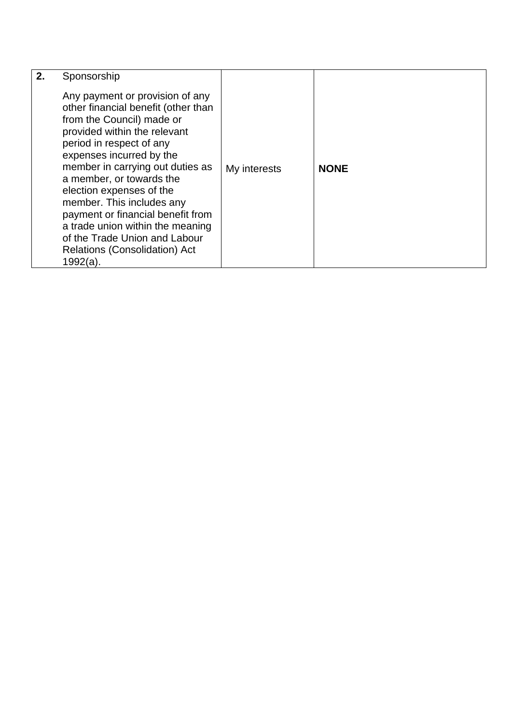| 2. | Sponsorship<br>Any payment or provision of any<br>other financial benefit (other than<br>from the Council) made or<br>provided within the relevant<br>period in respect of any<br>expenses incurred by the<br>member in carrying out duties as<br>a member, or towards the<br>election expenses of the<br>member. This includes any<br>payment or financial benefit from<br>a trade union within the meaning<br>of the Trade Union and Labour<br><b>Relations (Consolidation) Act</b> | My interests | <b>NONE</b> |
|----|---------------------------------------------------------------------------------------------------------------------------------------------------------------------------------------------------------------------------------------------------------------------------------------------------------------------------------------------------------------------------------------------------------------------------------------------------------------------------------------|--------------|-------------|
|    | $1992(a)$ .                                                                                                                                                                                                                                                                                                                                                                                                                                                                           |              |             |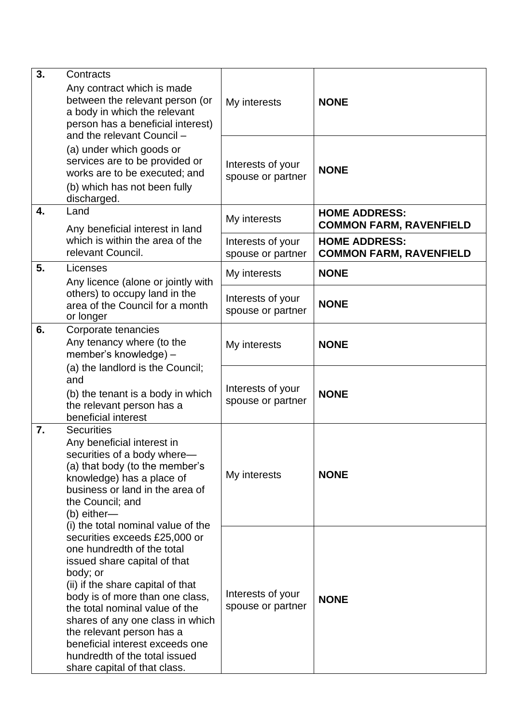| 3.                                                                                                                               | Contracts<br>Any contract which is made<br>between the relevant person (or<br>a body in which the relevant<br>person has a beneficial interest)<br>and the relevant Council -                                                                                                                                                                                                                                                                                                                                                                                                                                                                         | My interests                           | <b>NONE</b>                                            |
|----------------------------------------------------------------------------------------------------------------------------------|-------------------------------------------------------------------------------------------------------------------------------------------------------------------------------------------------------------------------------------------------------------------------------------------------------------------------------------------------------------------------------------------------------------------------------------------------------------------------------------------------------------------------------------------------------------------------------------------------------------------------------------------------------|----------------------------------------|--------------------------------------------------------|
|                                                                                                                                  | (a) under which goods or<br>services are to be provided or<br>works are to be executed; and<br>(b) which has not been fully<br>discharged.                                                                                                                                                                                                                                                                                                                                                                                                                                                                                                            | Interests of your<br>spouse or partner | <b>NONE</b>                                            |
| 4.                                                                                                                               | Land<br>Any beneficial interest in land                                                                                                                                                                                                                                                                                                                                                                                                                                                                                                                                                                                                               | My interests                           | <b>HOME ADDRESS:</b><br><b>COMMON FARM, RAVENFIELD</b> |
|                                                                                                                                  | which is within the area of the<br>relevant Council.                                                                                                                                                                                                                                                                                                                                                                                                                                                                                                                                                                                                  | Interests of your<br>spouse or partner | <b>HOME ADDRESS:</b><br><b>COMMON FARM, RAVENFIELD</b> |
| 5.                                                                                                                               | Licenses<br>Any licence (alone or jointly with                                                                                                                                                                                                                                                                                                                                                                                                                                                                                                                                                                                                        | My interests                           | <b>NONE</b>                                            |
|                                                                                                                                  | others) to occupy land in the<br>area of the Council for a month<br>or longer                                                                                                                                                                                                                                                                                                                                                                                                                                                                                                                                                                         | Interests of your<br>spouse or partner | <b>NONE</b>                                            |
| 6.                                                                                                                               | Corporate tenancies<br>Any tenancy where (to the<br>member's knowledge) -                                                                                                                                                                                                                                                                                                                                                                                                                                                                                                                                                                             | My interests                           | <b>NONE</b>                                            |
| (a) the landlord is the Council;<br>and<br>(b) the tenant is a body in which<br>the relevant person has a<br>beneficial interest | Interests of your<br>spouse or partner                                                                                                                                                                                                                                                                                                                                                                                                                                                                                                                                                                                                                | <b>NONE</b>                            |                                                        |
| 7.                                                                                                                               | <b>Securities</b><br>Any beneficial interest in<br>securities of a body where-<br>(a) that body (to the member's<br>knowledge) has a place of<br>business or land in the area of<br>the Council; and<br>$(b)$ either-<br>(i) the total nominal value of the<br>securities exceeds £25,000 or<br>one hundredth of the total<br>issued share capital of that<br>body; or<br>(ii) if the share capital of that<br>body is of more than one class,<br>the total nominal value of the<br>shares of any one class in which<br>the relevant person has a<br>beneficial interest exceeds one<br>hundredth of the total issued<br>share capital of that class. | My interests                           | <b>NONE</b>                                            |
|                                                                                                                                  |                                                                                                                                                                                                                                                                                                                                                                                                                                                                                                                                                                                                                                                       | Interests of your<br>spouse or partner | <b>NONE</b>                                            |